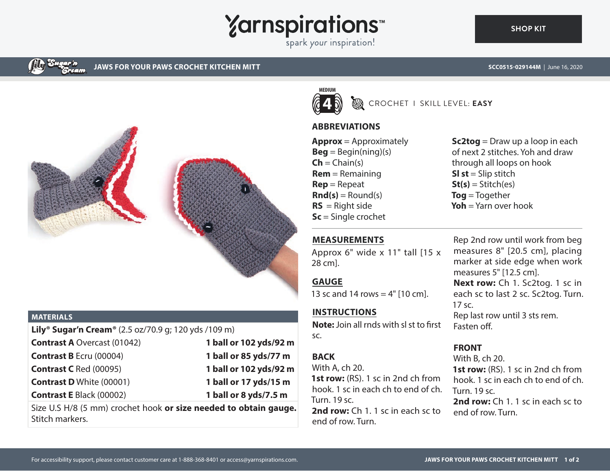

spark your inspiration!



**JAWS FOR YOUR PAWS CROCHET KITCHEN MITT SCC0515-029144M** | June 16, 2020



#### **MATERIALS**

| <b>Lily<sup>®</sup> Sugar'n Cream<sup>®</sup> (2.5 oz/70.9 g; 120 yds /109 m)</b> |  |
|-----------------------------------------------------------------------------------|--|
| 1 ball or 102 yds/92 m                                                            |  |
| 1 ball or 85 yds/77 m                                                             |  |
| 1 ball or 102 yds/92 m                                                            |  |
| 1 ball or 17 yds/15 m                                                             |  |
| 1 ball or 8 yds/7.5 m                                                             |  |
|                                                                                   |  |

Size U.S H/8 (5 mm) crochet hook **or size needed to obtain gauge.** Stitch markers.



## CROCHET I SKILL LEVEL: **EASY**

## **ABBREVIATIONS**

**Approx** = Approximately  $\textbf{Beg} = \text{Begin}(ning)(s)$  $\mathsf{Ch} = \mathsf{Chain}(s)$ **Rem** = Remaining **Rep** = Repeat  $\text{Rnd}(s) =$  Round(s)  $RS =$  Right side **Sc** = Single crochet

**Sc2tog** = Draw up a loop in each of next 2 stitches. Yoh and draw through all loops on hook **Sl st** = Slip stitch  $St(s) = Stitch(es)$ **Tog** = Together **Yoh** = Yarn over hook

# **MEASUREMENTS**

Approx 6" wide x 11" tall [15 x 28 cm].

## **GAUGE**

13 sc and 14 rows  $=$  4" [10 cm].

# **INSTRUCTIONS**

**Note:** Join all rnds with sl st to first sc.

# **BACK**

With A, ch 20. **1st row:** (RS). 1 sc in 2nd ch from hook. 1 sc in each ch to end of ch. Turn. 19 sc.

**2nd row:** Ch 1. 1 sc in each sc to end of row. Turn.

Rep 2nd row until work from beg measures 8" [20.5 cm], placing marker at side edge when work measures 5" [12.5 cm]. **Next row:** Ch 1. Sc2tog. 1 sc in each sc to last 2 sc. Sc2tog. Turn. 17 sc. Rep last row until 3 sts rem. Fasten off

# **FRONT**

With B, ch 20. **1st row:** (RS). 1 sc in 2nd ch from

hook. 1 sc in each ch to end of ch. Turn. 19 sc.

**2nd row:** Ch 1. 1 sc in each sc to end of row. Turn.